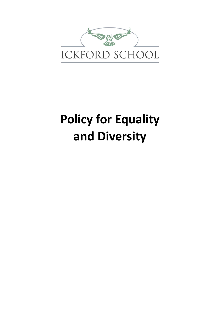

# **Policy for Equality and Diversity**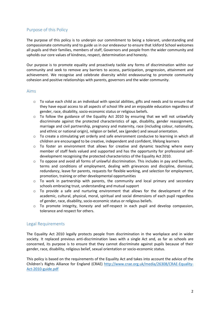# Purpose of this Policy

The purpose of this policy is to underpin our commitment to being a tolerant, understanding and compassionate community and to guide us in our endeavour to ensure that Ickford School welcomes all pupils and their families, members of staff, Governors and people from the wider community and upholds our core values of kindness, respect, determination and honesty.

Our purpose is to promote equality and proactively tackle any forms of discrimination within our community and seek to remove any barriers to access, participation, progression, attainment and achievement. We recognise and celebrate diversity whilst endeavouring to promote community cohesion and positive relationships with parents, governors and the wider community.

#### Aims

- o To value each child as an individual with special abilities, gifts and needs and to ensure that they have equal access to all aspects of school life and an enjoyable education regardless of gender, race, disability, socio-economic status or religious beliefs.
- $\circ$  To follow the guidance of the Equality Act 2010 by ensuring that we will not unlawfully discriminate against the protected characteristics of age, disability, gender reassignment, marriage and civil partnership, pregnancy and maternity, race (including colour, nationality, and ethnic or national origin), religion or belief, sex (gender) and sexual orientation.
- $\circ$  To create a stimulating yet orderly and safe environment conducive to learning in which all children are encouraged to be creative, independent and confident, lifelong learners
- $\circ$  To foster an environment that allows for creative and dynamic teaching where every member of staff feels valued and supported and has the opportunity for professional selfdevelopment recognising the protected characteristics of the Equality Act 2010.
- $\circ$  To oppose and avoid all forms of unlawful discrimination. This includes in pay and benefits, terms and conditions of employment, dealing with grievances and discipline, dismissal, redundancy, leave for parents, requests for flexible working, and selection for employment, promotion, training or other developmental opportunities
- o To work in partnership with parents, the community and local primary and secondary schools embracing trust, understanding and mutual support
- $\circ$  To provide a safe and nurturing environment that allows for the development of the academic, cultural, physical, moral, spiritual and social dimensions of each pupil regardless of gender, race, disability, socio-economic status or religious beliefs.
- $\circ$  To promote integrity, honesty and self-respect in each pupil and develop compassion, tolerance and respect for others.

# Legal Requirements

The Equality Act 2010 legally protects people from discrimination in the workplace and in wider society. It replaced previous anti-discrimination laws with a single Act and, as far as schools are concerned, its purpose is to ensure that they cannot discriminate against pupils because of their gender, race, disability, religious belief, sexual orientation or socio-economic status.

This policy is based on the requirements of the Equality Act and takes into account the advice of the Children's Rights Alliance for England (CRAE) http://www.crae.org.uk/media/26308/CRAE-Equality-Act-2010-guide.pdf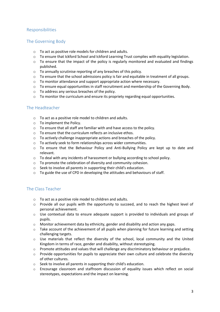# Responsibilities

### The Governing Body

- o To act as positive role models for children and adults.
- o To ensure that Ickford School and Ickford Learning Trust complies with equality legislation.
- $\circ$  To ensure that the impact of the policy is regularly monitored and evaluated and findings published.
- o To annually scrutinise reporting of any breaches of this policy.
- $\circ$  To ensure that the school admissions policy is fair and equitable in treatment of all groups.
- o To monitor attendance and support appropriate action where necessary.
- o To ensure equal opportunities in staff recruitment and membership of the Governing Body.
- o To address any serious breaches of the policy.
- $\circ$  To monitor the curriculum and ensure its propriety regarding equal opportunities.

# The Headteacher

- o To act as a positive role model to children and adults.
- o To implement the Policy.
- o To ensure that all staff are familiar with and have access to the policy.
- o To ensure that the curriculum reflects an inclusive ethos.
- o To actively challenge inappropriate actions and breaches of the policy.
- o To actively seek to form relationships across wider communities.
- o To ensure that the Behaviour Policy and Anti-Bullying Policy are kept up to date and relevant.
- $\circ$  To deal with any incidents of harassment or bullying according to school policy.
- o To promote the celebration of diversity and community cohesion.
- o Seek to involve all parents in supporting their child's education.
- o To guide the use of CPD in developing the attitudes and behaviours of staff.

# The Class Teacher

- o To act as a positive role model to children and adults.
- o Provide all our pupils with the opportunity to succeed, and to reach the highest level of personal achievement.
- $\circ$  Use contextual data to ensure adequate support is provided to individuals and groups of pupils.
- $\circ$  Monitor achievement data by ethnicity, gender and disability and action any gaps.
- $\circ$  Take account of the achievement of all pupils when planning for future learning and setting challenging targets.
- $\circ$  Use materials that reflect the diversity of the school, local community and the United Kingdom in terms of race, gender and disability, without stereotyping.
- $\circ$  Promote attitudes and values that will challenge any discriminatory behaviour or prejudice.
- $\circ$  Provide opportunities for pupils to appreciate their own culture and celebrate the diversity of other cultures.
- o Seek to involve all parents in supporting their child's education.
- $\circ$  Encourage classroom and staffroom discussion of equality issues which reflect on social stereotypes, expectations and the impact on learning.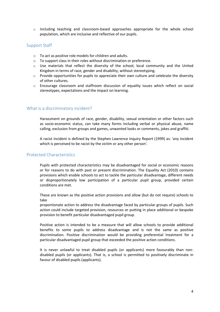$\circ$  Including teaching and classroom-based approaches appropriate for the whole school population, which are inclusive and reflective of our pupils.

#### Support Staff

- o To act as positive role models for children and adults.
- o To support class in their roles without discrimination or preference.
- o Use materials that reflect the diversity of the school, local community and the United Kingdom in terms of race, gender and disability, without stereotyping.
- $\circ$  Provide opportunities for pupils to appreciate their own culture and celebrate the diversity of other cultures.
- $\circ$  Encourage classroom and staffroom discussion of equality issues which reflect on social stereotypes, expectations and the impact on learning.

#### What is a discriminatory incident?

Harassment on grounds of race, gender, disability, sexual orientation or other factors such as socio-economic status, can take many forms including verbal or physical abuse, name calling, exclusion from groups and games, unwanted looks or comments, jokes and graffiti.

A racist incident is defined by the Stephen Lawrence Inquiry Report (1999) as: 'any incident which is perceived to be racist by the victim or any other person'.

#### Protected Characteristics

Pupils with protected characteristics may be disadvantaged for social or economic reasons or for reasons to do with past or present discrimination. The Equality Act (2010) contains provisions which enable schools to act to tackle the particular disadvantage, different needs or disproportionately low participation of a particular pupil group, provided certain conditions are met.

These are known as the positive action provisions and allow (but do not require) schools to take

proportionate action to address the disadvantage faced by particular groups of pupils. Such action could include targeted provision, resources or putting in place additional or bespoke provision to benefit particular disadvantaged pupil group.

Positive action is intended to be a measure that will allow schools to provide additional benefits to some pupils to address disadvantage and is not the same as positive discrimination. Positive discrimination would be providing preferential treatment for a particular disadvantaged pupil group that exceeded the positive action conditions.

It is never unlawful to treat disabled pupils (or applicants) more favourably than nondisabled pupils (or applicants). That is, a school is permitted to positively discriminate in favour of disabled pupils (applicants).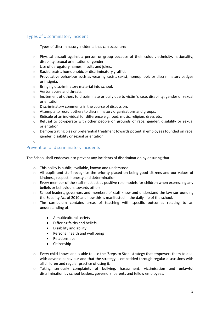# Types of discriminatory incident

Types of discriminatory incidents that can occur are:

- $\circ$  Physical assault against a person or group because of their colour, ethnicity, nationality, disability, sexual orientation or gender.
- o Use of derogatory names, insults and jokes.
- o Racist, sexist, homophobic or discriminatory graffiti.
- $\circ$  Provocative behaviour such as wearing racist, sexist, homophobic or discriminatory badges or insignia.
- o Bringing discriminatory material into school.
- o Verbal abuse and threats.
- $\circ$  Incitement of others to discriminate or bully due to victim's race, disability, gender or sexual orientation.
- o Discriminatory comments in the course of discussion.
- o Attempts to recruit others to discriminatory organisations and groups.
- $\circ$  Ridicule of an individual for difference e.g. food, music, religion, dress etc.
- $\circ$  Refusal to co-operate with other people on grounds of race, gender, disability or sexual orientation.
- $\circ$  Demonstrating bias or preferential treatment towards potential employees founded on race, gender, disability or sexual orientation.
- o

# Prevention of discriminatory incidents

The School shall endeavour to prevent any incidents of discrimination by ensuring that:

- o This policy is public, available, known and understood.
- o All pupils and staff recognise the priority placed on being good citizens and our values of kindness, respect, honesty and determination.
- $\circ$  Every member of the staff must act as positive role models for children when expressing any beliefs or behaviours towards others.
- o School leaders, governors and members of staff know and understand the law surrounding the Equality Act of 2010 and how this is manifested in the daily life of the school.
- o The curriculum contains areas of teaching with specific outcomes relating to an understanding of:
	- A multicultural society
	- Differing faiths and beliefs
	- Disability and ability
	- Personal health and well being
	- Relationships
	- Citizenship
- $\circ$  Every child knows and is able to use the 'Steps to Stop' strategy that empowers them to deal with adverse behaviour and that the strategy is embedded through regular discussions with all children and regular practice of using it.
- o Taking seriously complaints of bullying, harassment, victimisation and unlawful discrimination by school leaders, governors, parents and fellow employees.